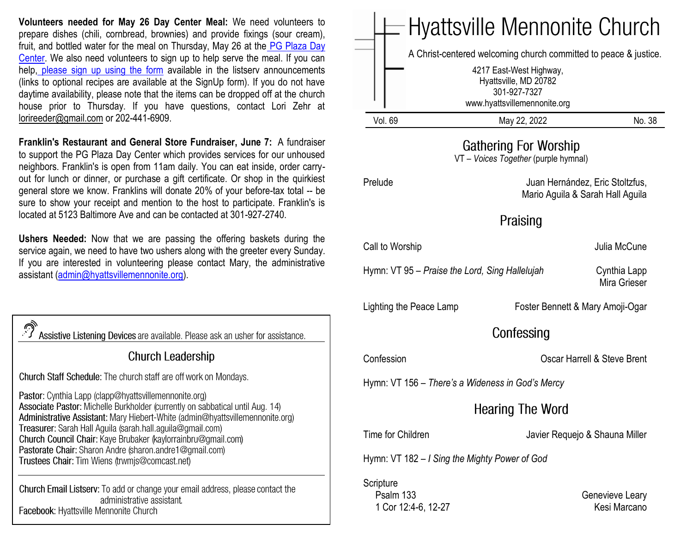**Volunteers needed for May 26 Day Center Meal:** We need volunteers to prepare dishes (chili, cornbread, brownies) and provide fixings (sour cream), fruit, and bottled water for the meal on Thursday, May 26 at the [PG Plaza Day](https://www.congregationsunited.org/daycenter)  [Center.](https://www.congregationsunited.org/daycenter) We also need volunteers to sign up to help serve the meal. If you can help, [please sign up using the form](https://www.signupgenius.com/go/20F044FAAAC2FA2FF2-may26day) available in the listserv announcements (links to optional recipes are available at the SignUp form). If you do not have daytime availability, please note that the items can be dropped off at the church house prior to Thursday. If you have questions, contact Lori Zehr at lorireeder@gmail.com or 202-441-6909.

**Franklin's Restaurant and General Store Fundraiser, June 7:** A fundraiser to support the PG Plaza Day Center which provides services for our unhoused neighbors. Franklin's is open from 11am daily. You can eat inside, order carryout for lunch or dinner, or purchase a gift certificate. Or shop in the quirkiest general store we know. Franklins will donate 20% of your before-tax total -- be sure to show your receipt and mention to the host to participate. Franklin's is located at 5123 Baltimore Ave and can be contacted at 301-927-2740.

**Ushers Needed:** Now that we are passing the offering baskets during the service again, we need to have two ushers along with the greeter every Sunday. If you are interested in volunteering please contact Mary, the administrative assistant [\(admin@hyattsvillemennonite.org\)](mailto:admin@hyattsvillemennonite.org).

| Assistive Listening Devices are available. Please ask an usher for assistance.                                                                                                                                                                                                                                                                                                                                                                                      |  |  |
|---------------------------------------------------------------------------------------------------------------------------------------------------------------------------------------------------------------------------------------------------------------------------------------------------------------------------------------------------------------------------------------------------------------------------------------------------------------------|--|--|
| <b>Church Leadership</b>                                                                                                                                                                                                                                                                                                                                                                                                                                            |  |  |
| Church Staff Schedule: The church staff are off work on Mondays.                                                                                                                                                                                                                                                                                                                                                                                                    |  |  |
| Pastor: Cynthia Lapp (clapp@hyattsvillemennonite.org)<br>Associate Pastor: Michelle Burkholder (currently on sabbatical until Aug. 14)<br>Administrative Assistant: Mary Hiebert-White (admin@hyattsvillemennonite.org)<br>Treasurer: Sarah Hall Aguila (sarah.hall.aguila@gmail.com)<br>Church Council Chair: Kaye Brubaker (kaylorrainbru@gmail.com)<br>Pastorate Chair: Sharon Andre (sharon.andre1@gmail.com)<br>Trustees Chair: Tim Wiens (trwmjs@comcast.net) |  |  |
| <b>Church Email Listserv:</b> To add or change your email address, please contact the<br>administrative assistant.<br>Facebook: Hyattsville Mennonite Church                                                                                                                                                                                                                                                                                                        |  |  |

|                                                                      | Hyattsville Mennonite Church                                                                                                                                         |                                                                     |  |
|----------------------------------------------------------------------|----------------------------------------------------------------------------------------------------------------------------------------------------------------------|---------------------------------------------------------------------|--|
|                                                                      | A Christ-centered welcoming church committed to peace & justice.<br>4217 East-West Highway,<br>Hyattsville, MD 20782<br>301-927-7327<br>www.hyattsvillemennonite.org |                                                                     |  |
| <b>Vol. 69</b>                                                       | May 22, 2022                                                                                                                                                         | No. 38                                                              |  |
| <b>Gathering For Worship</b><br>VT - Voices Together (purple hymnal) |                                                                                                                                                                      |                                                                     |  |
| Prelude                                                              |                                                                                                                                                                      | Juan Hernández, Eric Stoltzfus,<br>Mario Aguila & Sarah Hall Aguila |  |
| Praising                                                             |                                                                                                                                                                      |                                                                     |  |
| Call to Worship                                                      |                                                                                                                                                                      | Julia McCune                                                        |  |
| Hymn: VT 95 – Praise the Lord, Sing Hallelujah                       |                                                                                                                                                                      | Cynthia Lapp<br>Mira Grieser                                        |  |
| Lighting the Peace Lamp<br>Foster Bennett & Mary Amoji-Ogar          |                                                                                                                                                                      |                                                                     |  |
| Confessing                                                           |                                                                                                                                                                      |                                                                     |  |
| Confession                                                           |                                                                                                                                                                      | Oscar Harrell & Steve Brent                                         |  |
| Hymn: VT 156 – There's a Wideness in God's Mercy                     |                                                                                                                                                                      |                                                                     |  |
| <b>Hearing The Word</b>                                              |                                                                                                                                                                      |                                                                     |  |
| Time for Children                                                    |                                                                                                                                                                      | Javier Requejo & Shauna Miller                                      |  |
| Hymn: VT 182 – I Sing the Mighty Power of God                        |                                                                                                                                                                      |                                                                     |  |
| Scripture<br>Psalm 133<br>1 Cor 12:4-6, 12-27                        |                                                                                                                                                                      | Genevieve Leary<br>Kesi Marcano                                     |  |